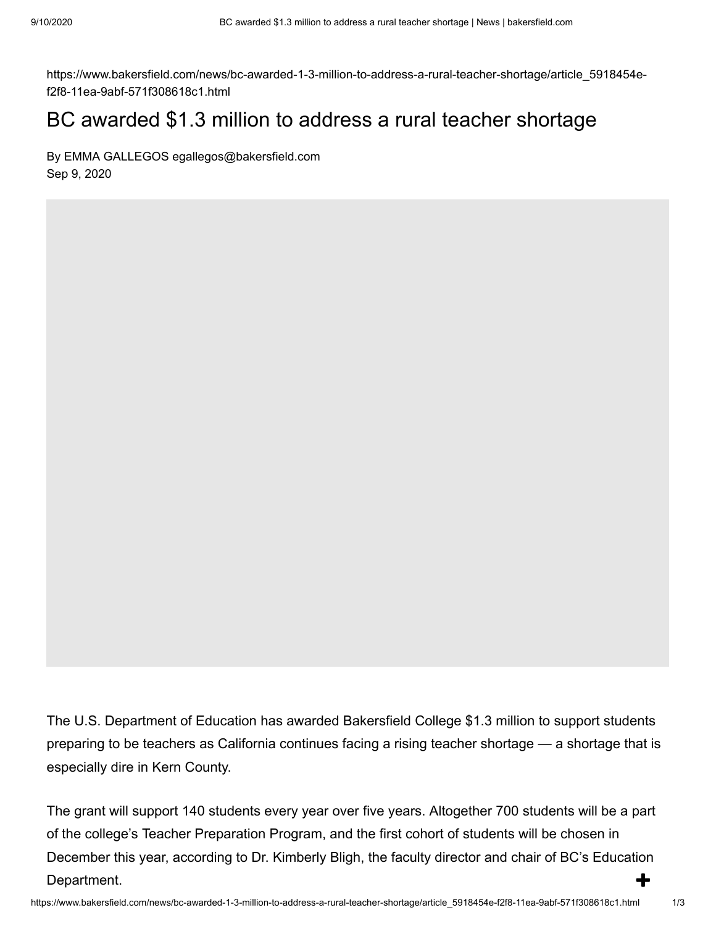https://www.bakersfield.com/news/bc-awarded-1-3-million-to-address-a-rural-teacher-shortage/article\_5918454ef2f8-11ea-9abf-571f308618c1.html

## BC awarded \$1.3 million to address a rural teacher shortage

By EMMA GALLEGOS egallegos@bakersfield.com Sep 9, 2020

The U.S. Department of Education has awarded Bakersfield College \$1.3 million to support students preparing to be teachers as California continues facing a rising teacher shortage — a shortage that is especially dire in Kern County.

The grant will support 140 students every year over five years. Altogether 700 students will be a part of the college's Teacher Preparation Program, and the first cohort of students will be chosen in December this year, according to Dr. Kimberly Bligh, the faculty director and chair of BC's Education Department.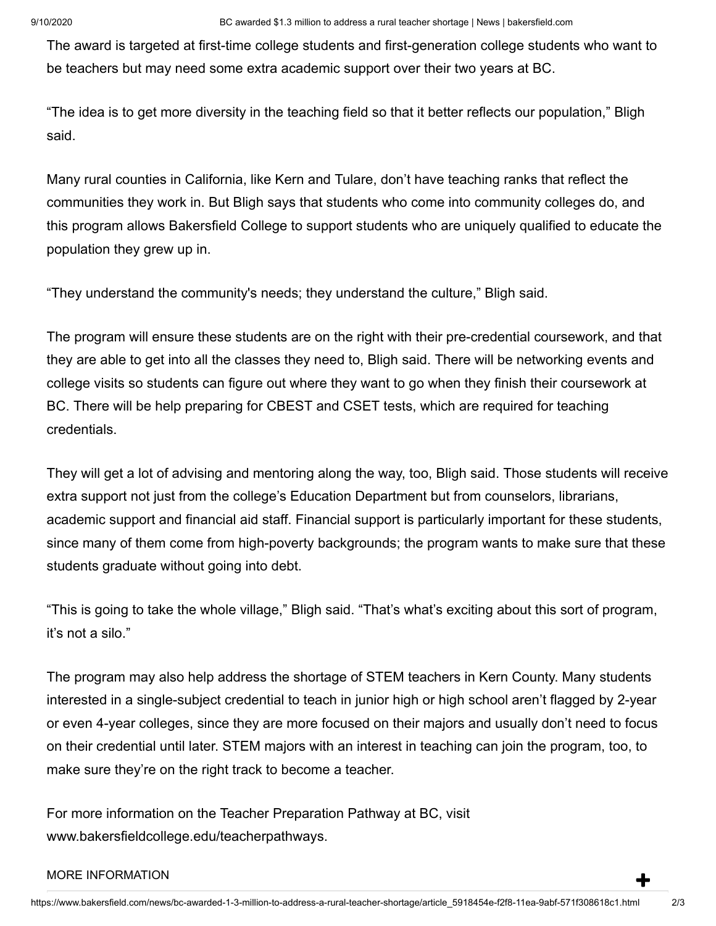The award is targeted at first-time college students and first-generation college students who want to be teachers but may need some extra academic support over their two years at BC.

"The idea is to get more diversity in the teaching field so that it better reflects our population," Bligh said.

Many rural counties in California, like Kern and Tulare, don't have teaching ranks that reflect the communities they work in. But Bligh says that students who come into community colleges do, and this program allows Bakersfield College to support students who are uniquely qualified to educate the population they grew up in.

"They understand the community's needs; they understand the culture," Bligh said.

The program will ensure these students are on the right with their pre-credential coursework, and that they are able to get into all the classes they need to, Bligh said. There will be networking events and college visits so students can figure out where they want to go when they finish their coursework at BC. There will be help preparing for CBEST and CSET tests, which are required for teaching credentials.

They will get a lot of advising and mentoring along the way, too, Bligh said. Those students will receive extra support not just from the college's Education Department but from counselors, librarians, academic support and financial aid staff. Financial support is particularly important for these students, since many of them come from high-poverty backgrounds; the program wants to make sure that these students graduate without going into debt.

"This is going to take the whole village," Bligh said. "That's what's exciting about this sort of program, it's not a silo."

The program may also help address the shortage of STEM teachers in Kern County. Many students interested in a single-subject credential to teach in junior high or high school aren't flagged by 2-year or even 4-year colleges, since they are more focused on their majors and usually don't need to focus on their credential until later. STEM majors with an interest in teaching can join the program, too, to make sure they're on the right track to become a teacher.

For more information on the Teacher Preparation Pathway at BC, visit [www.bakersfieldcollege.edu/teacherpathways.](http://www.bakersfieldcollege.edu/teacherpathways)

## MORE INFORMATION